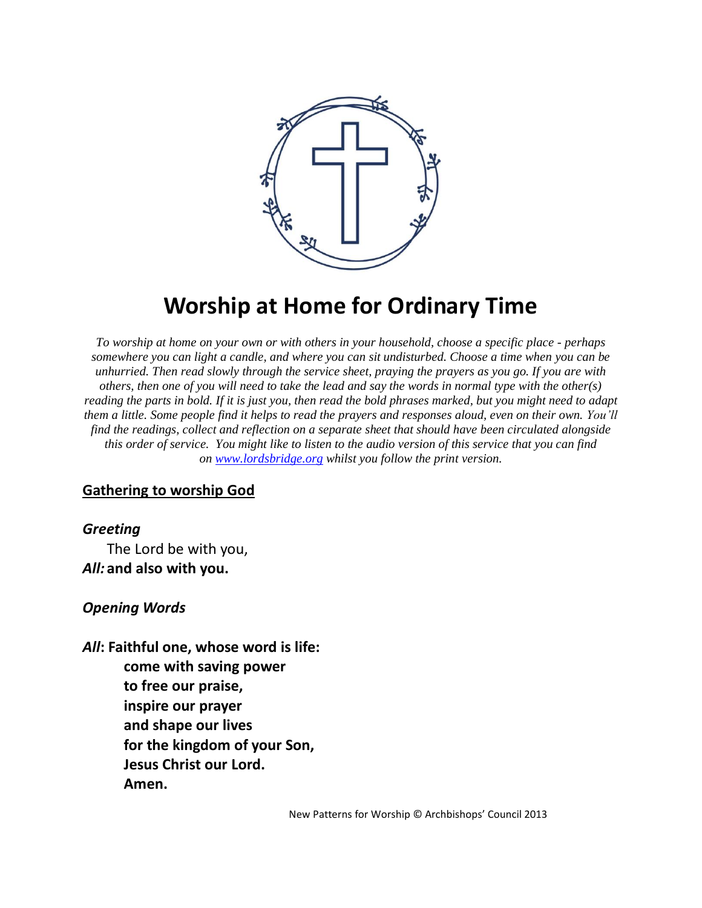

# **Worship at Home for Ordinary Time**

*To worship at home on your own or with others in your household, choose a specific place - perhaps somewhere you can light a candle, and where you can sit undisturbed. Choose a time when you can be unhurried. Then read slowly through the service sheet, praying the prayers as you go. If you are with others, then one of you will need to take the lead and say the words in normal type with the other(s) reading the parts in bold. If it is just you, then read the bold phrases marked, but you might need to adapt them a little. Some people find it helps to read the prayers and responses aloud, even on their own. You'll find the readings, collect and reflection on a separate sheet that should have been circulated alongside this order of service. You might like to listen to the audio version of this service that you can find on [www.lordsbridge.org](http://www.lordsbridge.org/) whilst you follow the print version.*

#### **Gathering to worship God**

#### *Greeting*

The Lord be with you, *All:* **and also with you.**

#### *Opening Words*

*All***: Faithful one, whose word is life: come with saving power to free our praise, inspire our prayer and shape our lives for the kingdom of your Son, Jesus Christ our Lord. Amen.**

New Patterns for Worship © Archbishops' Council 2013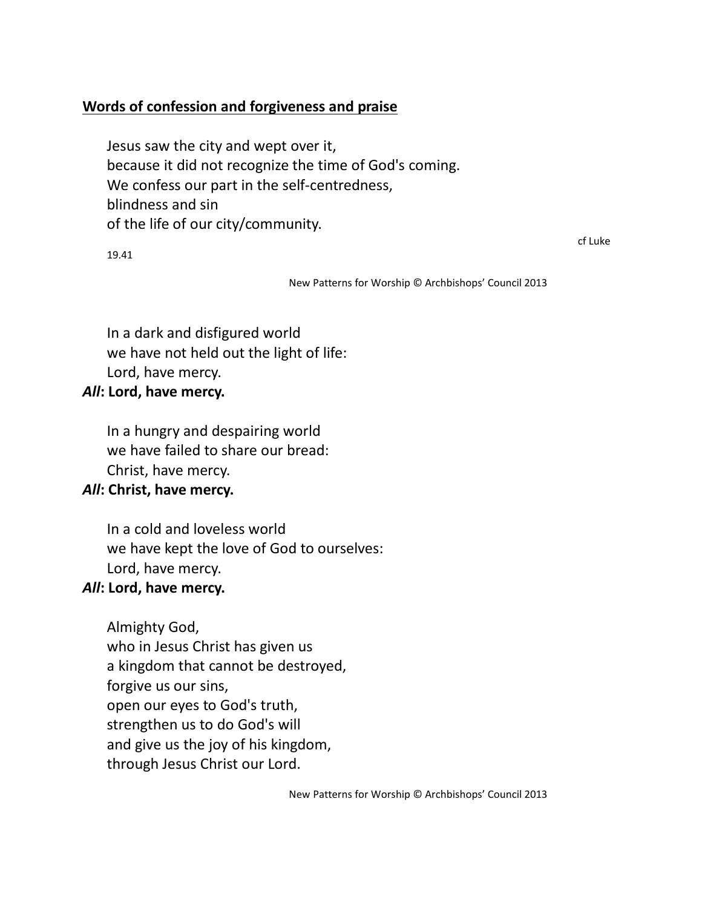# **Words of confession and forgiveness and praise**

Jesus saw the city and wept over it, because it did not recognize the time of God's coming. We confess our part in the self-centredness, blindness and sin of the life of our city/community.

19.41

cf Luke

New Patterns for Worship © Archbishops' Council 2013

In a dark and disfigured world we have not held out the light of life: Lord, have mercy.

#### *All***: Lord, have mercy.**

In a hungry and despairing world we have failed to share our bread: Christ, have mercy.

## *All***: Christ, have mercy.**

In a cold and loveless world we have kept the love of God to ourselves: Lord, have mercy.

## *All***: Lord, have mercy.**

Almighty God, who in Jesus Christ has given us a kingdom that cannot be destroyed, forgive us our sins, open our eyes to God's truth, strengthen us to do God's will and give us the joy of his kingdom, through Jesus Christ our Lord.

New Patterns for Worship © Archbishops' Council 2013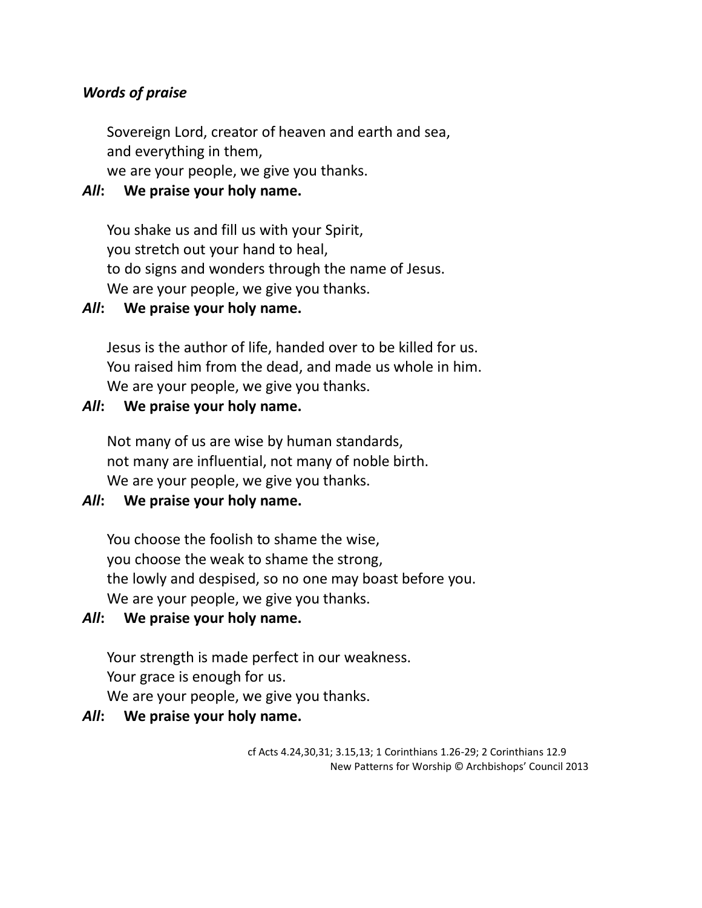## *Words of praise*

Sovereign Lord, creator of heaven and earth and sea, and everything in them,

we are your people, we give you thanks.

## *All***: We praise your holy name.**

You shake us and fill us with your Spirit, you stretch out your hand to heal, to do signs and wonders through the name of Jesus. We are your people, we give you thanks.

## *All***: We praise your holy name.**

Jesus is the author of life, handed over to be killed for us. You raised him from the dead, and made us whole in him. We are your people, we give you thanks.

#### *All***: We praise your holy name.**

Not many of us are wise by human standards, not many are influential, not many of noble birth. We are your people, we give you thanks.

# *All***: We praise your holy name.**

You choose the foolish to shame the wise, you choose the weak to shame the strong, the lowly and despised, so no one may boast before you. We are your people, we give you thanks.

## *All***: We praise your holy name.**

Your strength is made perfect in our weakness. Your grace is enough for us. We are your people, we give you thanks.

## *All***: We praise your holy name.**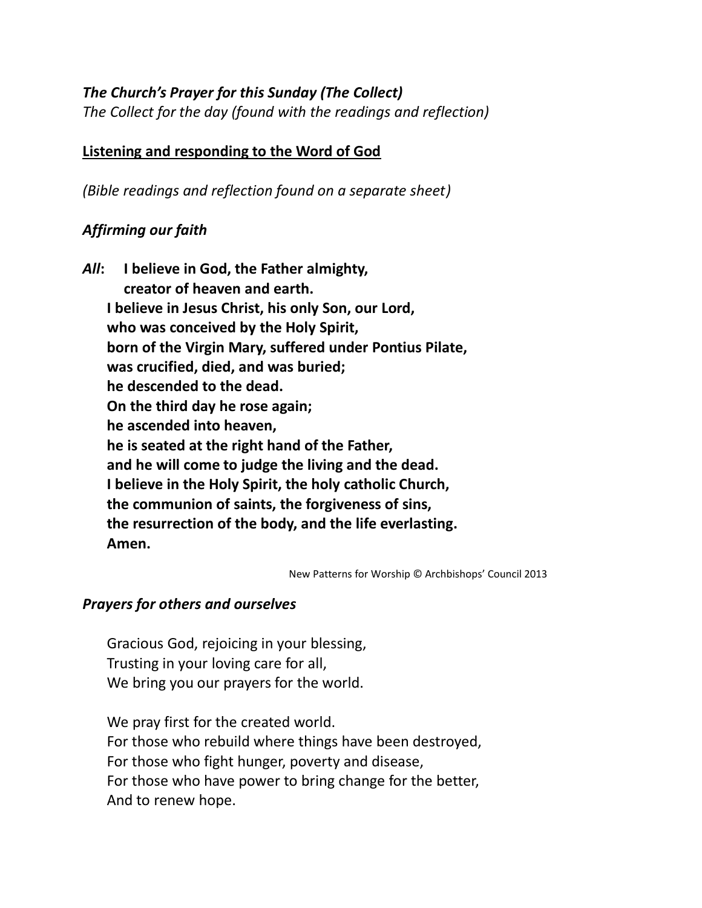## *The Church's Prayer for this Sunday (The Collect)*

*The Collect for the day (found with the readings and reflection)* 

## **Listening and responding to the Word of God**

*(Bible readings and reflection found on a separate sheet)*

# *Affirming our faith*

*All***: I believe in God, the Father almighty, creator of heaven and earth. I believe in Jesus Christ, his only Son, our Lord, who was conceived by the Holy Spirit, born of the Virgin Mary, suffered under Pontius Pilate, was crucified, died, and was buried; he descended to the dead. On the third day he rose again; he ascended into heaven, he is seated at the right hand of the Father, and he will come to judge the living and the dead. I believe in the Holy Spirit, the holy catholic Church, the communion of saints, the forgiveness of sins, the resurrection of the body, and the life everlasting. Amen.**

New Patterns for Worship © Archbishops' Council 2013

# *Prayers for others and ourselves*

Gracious God, rejoicing in your blessing, Trusting in your loving care for all, We bring you our prayers for the world.

We pray first for the created world. For those who rebuild where things have been destroyed, For those who fight hunger, poverty and disease, For those who have power to bring change for the better, And to renew hope.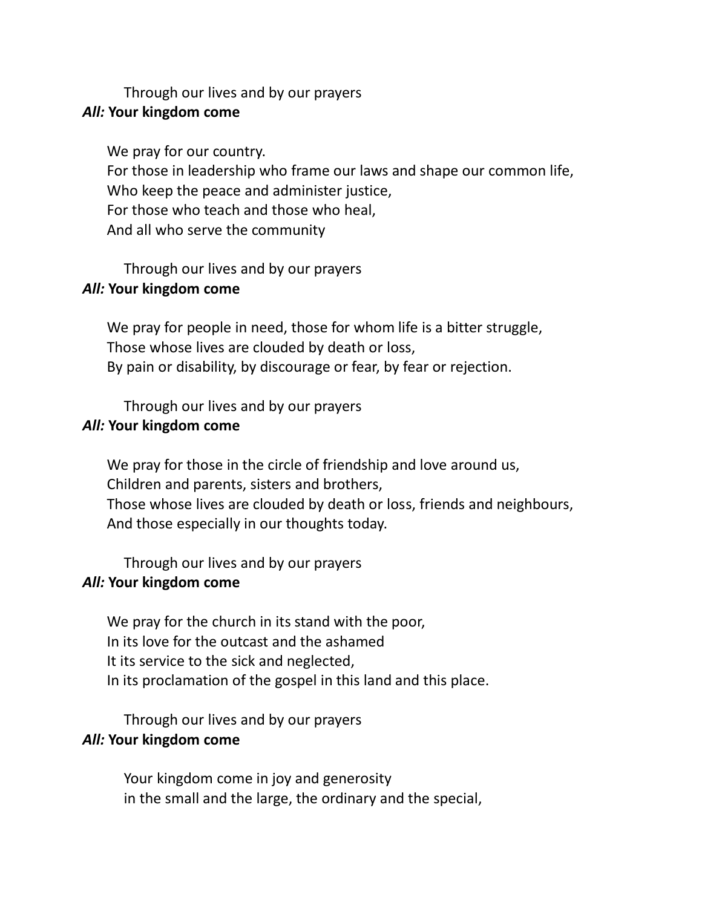Through our lives and by our prayers

#### *All:* **Your kingdom come**

We pray for our country. For those in leadership who frame our laws and shape our common life, Who keep the peace and administer justice, For those who teach and those who heal, And all who serve the community

Through our lives and by our prayers

#### *All:* **Your kingdom come**

We pray for people in need, those for whom life is a bitter struggle, Those whose lives are clouded by death or loss, By pain or disability, by discourage or fear, by fear or rejection.

Through our lives and by our prayers

## *All:* **Your kingdom come**

We pray for those in the circle of friendship and love around us, Children and parents, sisters and brothers, Those whose lives are clouded by death or loss, friends and neighbours, And those especially in our thoughts today.

Through our lives and by our prayers

## *All:* **Your kingdom come**

We pray for the church in its stand with the poor, In its love for the outcast and the ashamed It its service to the sick and neglected, In its proclamation of the gospel in this land and this place.

Through our lives and by our prayers

## *All:* **Your kingdom come**

Your kingdom come in joy and generosity in the small and the large, the ordinary and the special,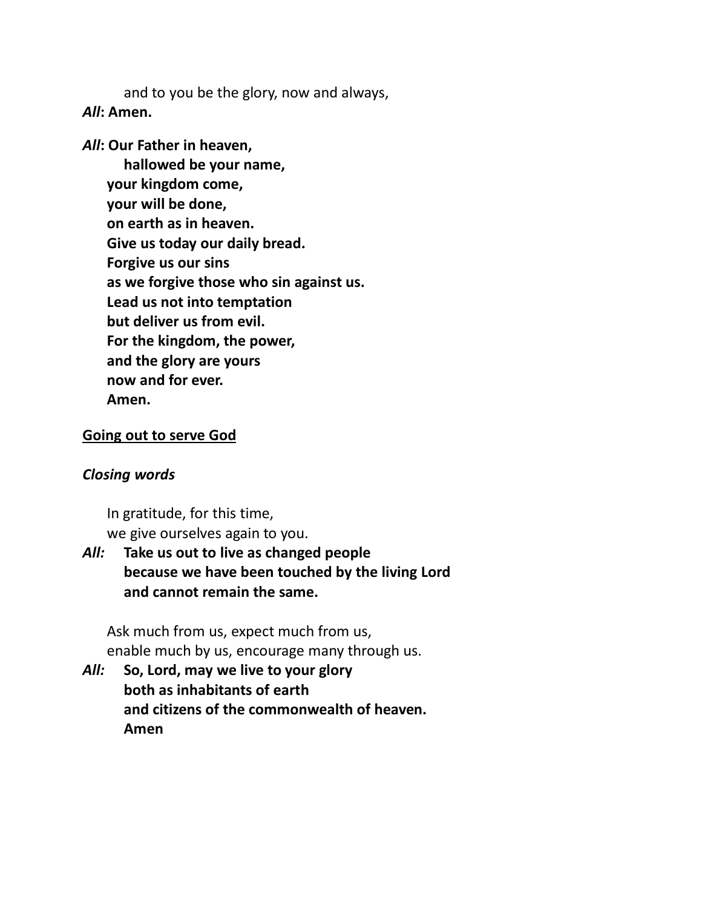and to you be the glory, now and always, *All***: Amen.**

#### *All***: Our Father in heaven,**

**hallowed be your name, your kingdom come, your will be done, on earth as in heaven. Give us today our daily bread. Forgive us our sins as we forgive those who sin against us. Lead us not into temptation but deliver us from evil. For the kingdom, the power, and the glory are yours now and for ever. Amen.**

#### **Going out to serve God**

#### *Closing words*

In gratitude, for this time, we give ourselves again to you.

# *All:* **Take us out to live as changed people because we have been touched by the living Lord and cannot remain the same.**

Ask much from us, expect much from us, enable much by us, encourage many through us.

*All:* **So, Lord, may we live to your glory both as inhabitants of earth and citizens of the commonwealth of heaven. Amen**